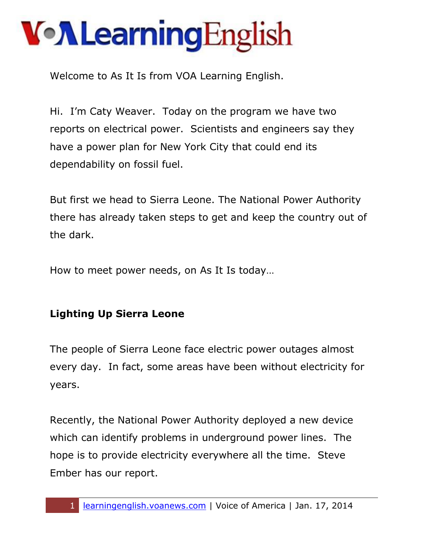Welcome to As It Is from VOA Learning English.

Hi. I'm Caty Weaver. Today on the program we have two reports on electrical power. Scientists and engineers say they have a power plan for New York City that could end its dependability on fossil fuel.

But first we head to Sierra Leone. The National Power Authority there has already taken steps to get and keep the country out of the dark.

How to meet power needs, on As It Is today…

#### **Lighting Up Sierra Leone**

The people of Sierra Leone face electric power outages almost every day. In fact, some areas have been without electricity for years.

Recently, the National Power Authority deployed a new device which can identify problems in underground power lines. The hope is to provide electricity everywhere all the time. Steve Ember has our report.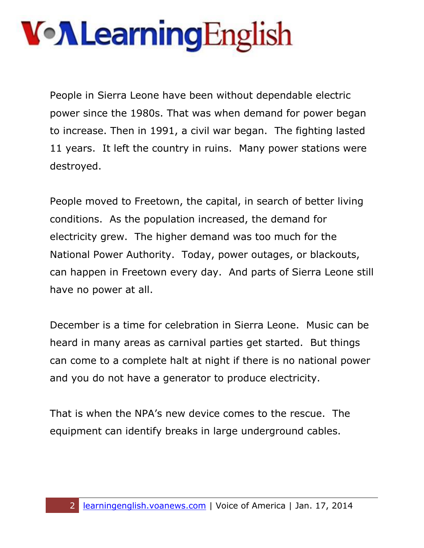## VollearningEnglish

People in Sierra Leone have been without dependable electric power since the 1980s. That was when demand for power began to increase. Then in 1991, a civil war began. The fighting lasted 11 years. It left the country in ruins. Many power stations were destroyed.

People moved to Freetown, the capital, in search of better living conditions. As the population increased, the demand for electricity grew. The higher demand was too much for the National Power Authority. Today, power outages, or blackouts, can happen in Freetown every day. And parts of Sierra Leone still have no power at all.

December is a time for celebration in Sierra Leone. Music can be heard in many areas as carnival parties get started. But things can come to a complete halt at night if there is no national power and you do not have a generator to produce electricity.

That is when the NPA's new device comes to the rescue. The equipment can identify breaks in large underground cables.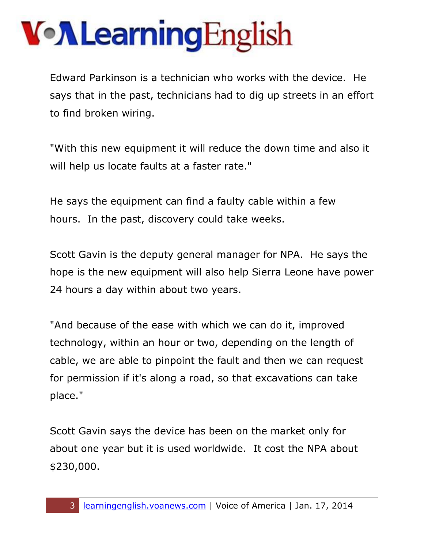Edward Parkinson is a technician who works with the device. He says that in the past, technicians had to dig up streets in an effort to find broken wiring.

"With this new equipment it will reduce the down time and also it will help us locate faults at a faster rate."

He says the equipment can find a faulty cable within a few hours. In the past, discovery could take weeks.

Scott Gavin is the deputy general manager for NPA. He says the hope is the new equipment will also help Sierra Leone have power 24 hours a day within about two years.

"And because of the ease with which we can do it, improved technology, within an hour or two, depending on the length of cable, we are able to pinpoint the fault and then we can request for permission if it's along a road, so that excavations can take place."

Scott Gavin says the device has been on the market only for about one year but it is used worldwide. It cost the NPA about \$230,000.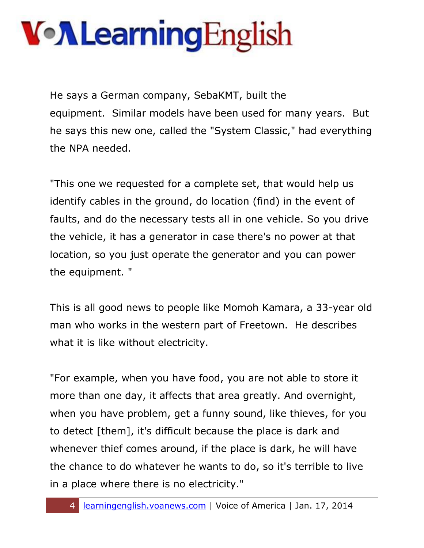He says a German company, SebaKMT, built the equipment. Similar models have been used for many years. But he says this new one, called the "System Classic," had everything the NPA needed.

"This one we requested for a complete set, that would help us identify cables in the ground, do location (find) in the event of faults, and do the necessary tests all in one vehicle. So you drive the vehicle, it has a generator in case there's no power at that location, so you just operate the generator and you can power the equipment. "

This is all good news to people like Momoh Kamara, a 33-year old man who works in the western part of Freetown. He describes what it is like without electricity.

"For example, when you have food, you are not able to store it more than one day, it affects that area greatly. And overnight, when you have problem, get a funny sound, like thieves, for you to detect [them], it's difficult because the place is dark and whenever thief comes around, if the place is dark, he will have the chance to do whatever he wants to do, so it's terrible to live in a place where there is no electricity."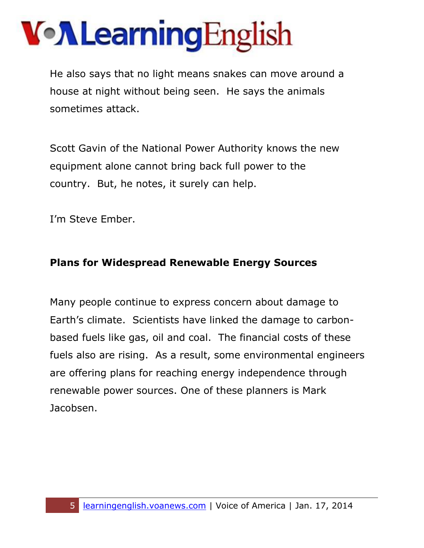He also says that no light means snakes can move around a house at night without being seen. He says the animals sometimes attack.

Scott Gavin of the National Power Authority knows the new equipment alone cannot bring back full power to the country. But, he notes, it surely can help.

I'm Steve Ember.

#### **Plans for Widespread Renewable Energy Sources**

Many people continue to express concern about damage to Earth's climate. Scientists have linked the damage to carbonbased fuels like gas, oil and coal. The financial costs of these fuels also are rising. As a result, some environmental engineers are offering plans for reaching energy independence through renewable power sources. One of these planners is Mark Jacobsen.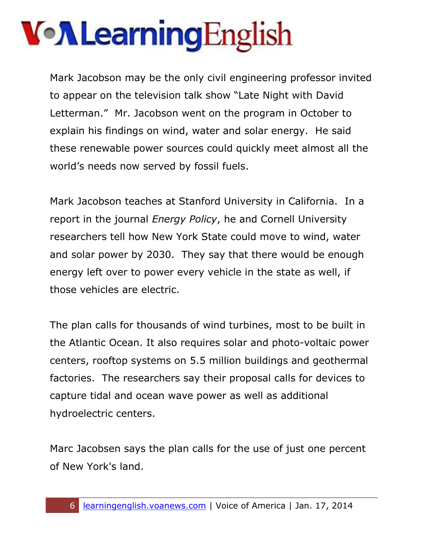# VollearningEnglish

Mark Jacobson may be the only civil engineering professor invited to appear on the television talk show "Late Night with David Letterman." Mr. Jacobson went on the program in October to explain his findings on wind, water and solar energy. He said these renewable power sources could quickly meet almost all the world's needs now served by fossil fuels.

Mark Jacobson teaches at Stanford University in California. In a report in the journal *Energy Policy*, he and Cornell University researchers tell how New York State could move to wind, water and solar power by 2030. They say that there would be enough energy left over to power every vehicle in the state as well, if those vehicles are electric.

The plan calls for thousands of wind turbines, most to be built in the Atlantic Ocean. It also requires solar and photo-voltaic power centers, rooftop systems on 5.5 million buildings and geothermal factories. The researchers say their proposal calls for devices to capture tidal and ocean wave power as well as additional hydroelectric centers.

Marc Jacobsen says the plan calls for the use of just one percent of New York's land.